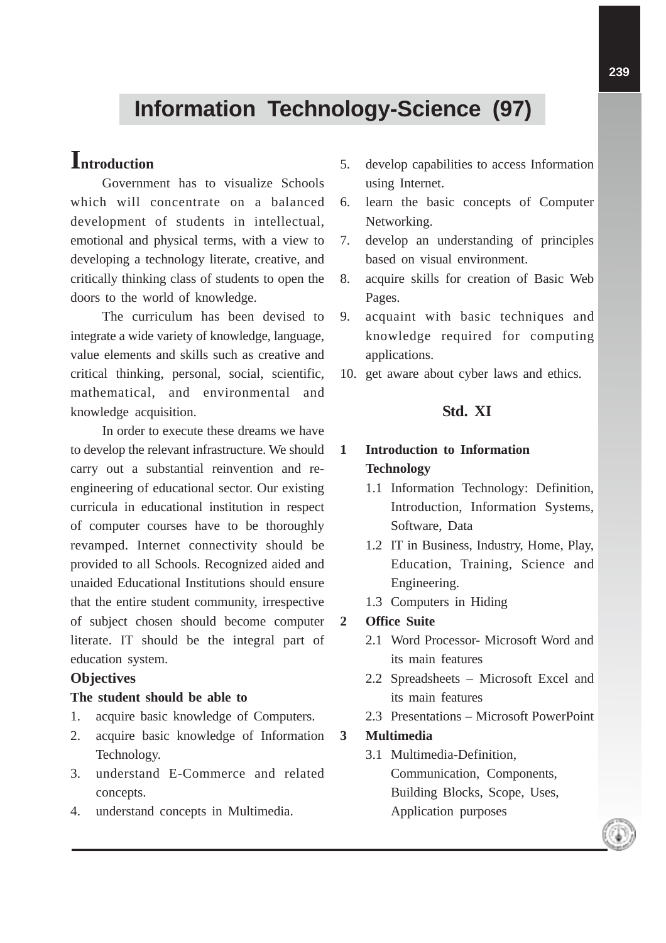# **Information Technology-Science (97)**

## **Introduction**

Government has to visualize Schools which will concentrate on a balanced development of students in intellectual, emotional and physical terms, with a view to developing a technology literate, creative, and critically thinking class of students to open the doors to the world of knowledge.

The curriculum has been devised to integrate a wide variety of knowledge, language, value elements and skills such as creative and critical thinking, personal, social, scientific, mathematical, and environmental and knowledge acquisition.

In order to execute these dreams we have to develop the relevant infrastructure. We should carry out a substantial reinvention and reengineering of educational sector. Our existing curricula in educational institution in respect of computer courses have to be thoroughly revamped. Internet connectivity should be provided to all Schools. Recognized aided and unaided Educational Institutions should ensure that the entire student community, irrespective of subject chosen should become computer literate. IT should be the integral part of education system.

## **Objectives**

#### **The student should be able to**

- 1. acquire basic knowledge of Computers.
- 2. acquire basic knowledge of Information Technology.
- 3. understand E-Commerce and related concepts.
- 4. understand concepts in Multimedia.
- 5. develop capabilities to access Information using Internet.
- 6. learn the basic concepts of Computer Networking.
- 7. develop an understanding of principles based on visual environment.
- 8. acquire skills for creation of Basic Web Pages.
- 9. acquaint with basic techniques and knowledge required for computing applications.
- 10. get aware about cyber laws and ethics.

## **Std. XI**

## **1 Introduction to Information Technology**

- 1.1 Information Technology: Definition, Introduction, Information Systems, Software, Data
- 1.2 IT in Business, Industry, Home, Play, Education, Training, Science and Engineering.
- 1.3 Computers in Hiding

#### **2 Office Suite**

- 2.1 Word Processor- Microsoft Word and its main features
- 2.2 Spreadsheets Microsoft Excel and its main features
- 2.3 Presentations Microsoft PowerPoint

#### **3 Multimedia**

3.1 Multimedia-Definition, Communication, Components, Building Blocks, Scope, Uses, Application purposes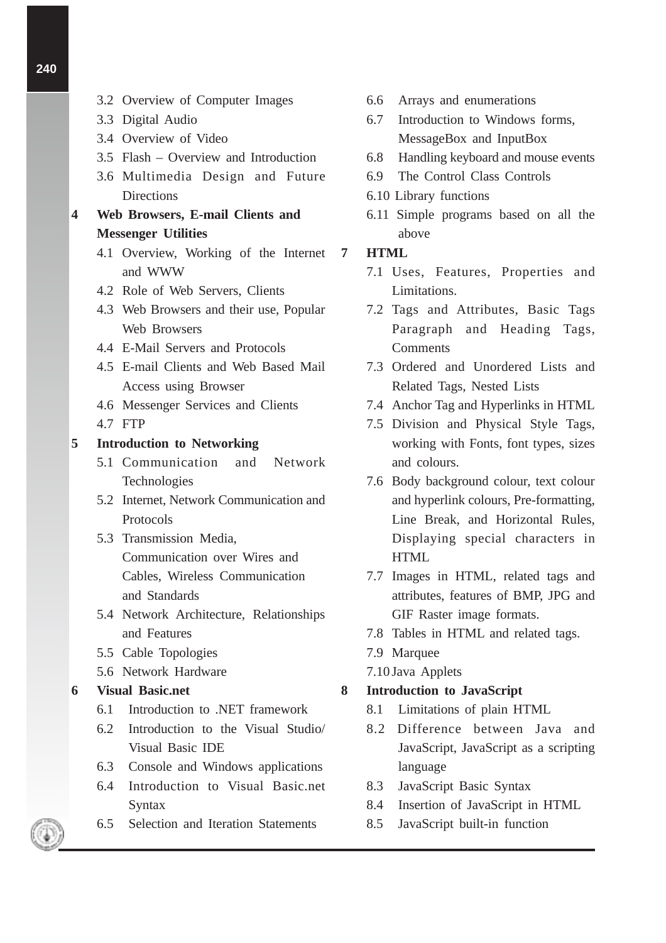- 3.2 Overview of Computer Images
- 3.3 Digital Audio
- 3.4 Overview of Video
- 3.5 Flash Overview and Introduction
- 3.6 Multimedia Design and Future **Directions**
- **4 Web Browsers, E-mail Clients and Messenger Utilities**
	- 4.1 Overview, Working of the Internet and WWW
	- 4.2 Role of Web Servers, Clients
	- 4.3 Web Browsers and their use, Popular Web Browsers
	- 4.4 E-Mail Servers and Protocols
	- 4.5 E-mail Clients and Web Based Mail Access using Browser
	- 4.6 Messenger Services and Clients
	- 4.7 FTP

### **5 Introduction to Networking**

- 5.1 Communication and Network Technologies
- 5.2 Internet, Network Communication and Protocols
- 5.3 Transmission Media, Communication over Wires and Cables, Wireless Communication and Standards
- 5.4 Network Architecture, Relationships and Features
- 5.5 Cable Topologies
- 5.6 Network Hardware

#### **6 Visual Basic.net**

- 6.1 Introduction to .NET framework
- 6.2 Introduction to the Visual Studio/ Visual Basic IDE
- 6.3 Console and Windows applications
- 6.4 Introduction to Visual Basic.net Syntax
- 6.5 Selection and Iteration Statements
- 6.6 Arrays and enumerations
- 6.7 Introduction to Windows forms, MessageBox and InputBox
- 6.8 Handling keyboard and mouse events
- 6.9 The Control Class Controls
- 6.10 Library functions
- 6.11 Simple programs based on all the above

### **7 HTML**

- 7.1 Uses, Features, Properties and Limitations.
- 7.2 Tags and Attributes, Basic Tags Paragraph and Heading Tags, Comments
- 7.3 Ordered and Unordered Lists and Related Tags, Nested Lists
- 7.4 Anchor Tag and Hyperlinks in HTML
- 7.5 Division and Physical Style Tags, working with Fonts, font types, sizes and colours.
- 7.6 Body background colour, text colour and hyperlink colours, Pre-formatting, Line Break, and Horizontal Rules, Displaying special characters in **HTML**
- 7.7 Images in HTML, related tags and attributes, features of BMP, JPG and GIF Raster image formats.
- 7.8 Tables in HTML and related tags.
- 7.9 Marquee
- 7.10 Java Applets

#### **8 Introduction to JavaScript**

- 8.1 Limitations of plain HTML
- 8.2 Difference between Java and JavaScript, JavaScript as a scripting language
- 8.3 JavaScript Basic Syntax
- 8.4 Insertion of JavaScript in HTML
- 8.5 JavaScript built-in function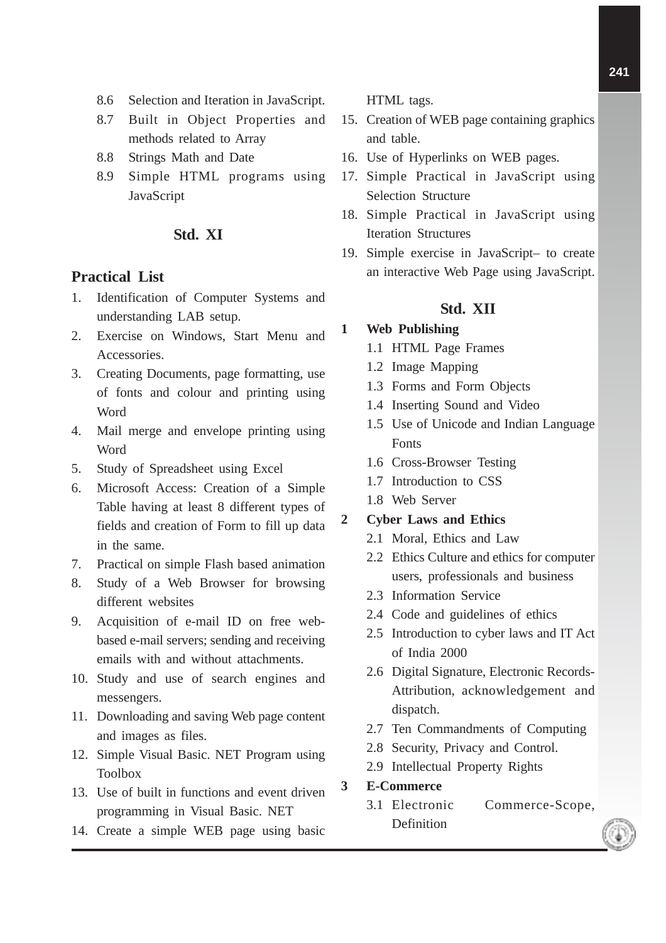- 8.6 Selection and Iteration in JavaScript.
- 8.7 Built in Object Properties and methods related to Array
- 8.8 Strings Math and Date
- 8.9 Simple HTML programs using JavaScript

#### **Std. XI**

#### **Practical List**

- 1. Identification of Computer Systems and understanding LAB setup.
- 2. Exercise on Windows, Start Menu and Accessories.
- 3. Creating Documents, page formatting, use of fonts and colour and printing using Word
- 4. Mail merge and envelope printing using Word
- 5. Study of Spreadsheet using Excel
- 6. Microsoft Access: Creation of a Simple Table having at least 8 different types of fields and creation of Form to fill up data in the same.
- 7. Practical on simple Flash based animation
- 8. Study of a Web Browser for browsing different websites
- 9. Acquisition of e-mail ID on free webbased e-mail servers; sending and receiving emails with and without attachments.
- 10. Study and use of search engines and messengers.
- 11. Downloading and saving Web page content and images as files.
- 12. Simple Visual Basic. NET Program using Toolbox
- 13. Use of built in functions and event driven programming in Visual Basic. NET
- 14. Create a simple WEB page using basic

HTML tags.

- 15. Creation of WEB page containing graphics and table.
- 16. Use of Hyperlinks on WEB pages.
- 17. Simple Practical in JavaScript using Selection Structure
- 18. Simple Practical in JavaScript using Iteration Structures
- 19. Simple exercise in JavaScript– to create an interactive Web Page using JavaScript.

#### **Std. XII**

#### **1 Web Publishing**

- 1.1 HTML Page Frames
- 1.2 Image Mapping
- 1.3 Forms and Form Objects
- 1.4 Inserting Sound and Video
- 1.5 Use of Unicode and Indian Language Fonts
- 1.6 Cross-Browser Testing
- 1.7 Introduction to CSS
- 1.8 Web Server

#### **2 Cyber Laws and Ethics**

- 2.1 Moral, Ethics and Law
- 2.2 Ethics Culture and ethics for computer users, professionals and business
- 2.3 Information Service
- 2.4 Code and guidelines of ethics
- 2.5 Introduction to cyber laws and IT Act of India 2000
- 2.6 Digital Signature, Electronic Records-Attribution, acknowledgement and dispatch.
- 2.7 Ten Commandments of Computing
- 2.8 Security, Privacy and Control.
- 2.9 Intellectual Property Rights

#### **3 E-Commerce**

- 3.1 Electronic Commerce-Scope, **Definition**
-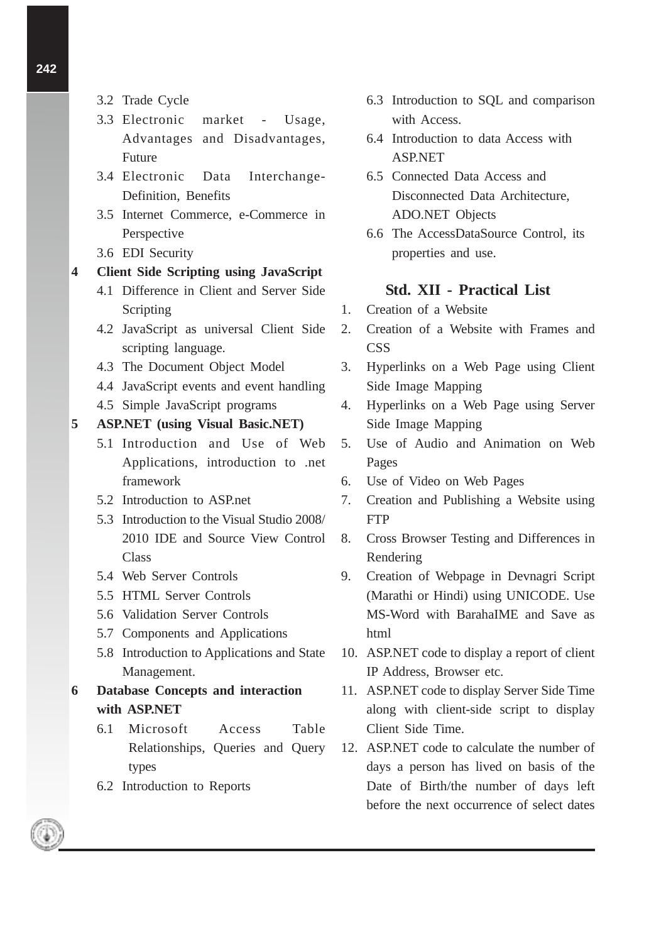- 3.2 Trade Cycle
- 3.3 Electronic market Usage, Advantages and Disadvantages, Future
- 3.4 Electronic Data Interchange-Definition, Benefits
- 3.5 Internet Commerce, e-Commerce in Perspective
- 3.6 EDI Security

#### **4 Client Side Scripting using JavaScript**

- 4.1 Difference in Client and Server Side Scripting
- 4.2 JavaScript as universal Client Side scripting language.
- 4.3 The Document Object Model
- 4.4 JavaScript events and event handling
- 4.5 Simple JavaScript programs

#### **5 ASP.NET (using Visual Basic.NET)**

- 5.1 Introduction and Use of Web Applications, introduction to .net framework
- 5.2 Introduction to ASP.net
- 5.3 Introduction to the Visual Studio 2008/ 2010 IDE and Source View Control **Class**
- 5.4 Web Server Controls
- 5.5 HTML Server Controls
- 5.6 Validation Server Controls
- 5.7 Components and Applications
- 5.8 Introduction to Applications and State Management.
- **6 Database Concepts and interaction with ASP.NET**
	- 6.1 Microsoft Access Table Relationships, Queries and Query types
	- 6.2 Introduction to Reports
- 6.3 Introduction to SQL and comparison with Access.
- 6.4 Introduction to data Access with ASP.NET
- 6.5 Connected Data Access and Disconnected Data Architecture, ADO.NET Objects
- 6.6 The AccessDataSource Control, its properties and use.

#### **Std. XII - Practical List**

- 1. Creation of a Website
- 2. Creation of a Website with Frames and **CSS**
- 3. Hyperlinks on a Web Page using Client Side Image Mapping
- 4. Hyperlinks on a Web Page using Server Side Image Mapping
- 5. Use of Audio and Animation on Web Pages
- 6. Use of Video on Web Pages
- 7. Creation and Publishing a Website using **FTP**
- 8. Cross Browser Testing and Differences in Rendering
- 9. Creation of Webpage in Devnagri Script (Marathi or Hindi) using UNICODE. Use MS-Word with BarahaIME and Save as html
- 10. ASP.NET code to display a report of client IP Address, Browser etc.
- 11. ASP.NET code to display Server Side Time along with client-side script to display Client Side Time.
- 12. ASP.NET code to calculate the number of days a person has lived on basis of the Date of Birth/the number of days left before the next occurrence of select dates